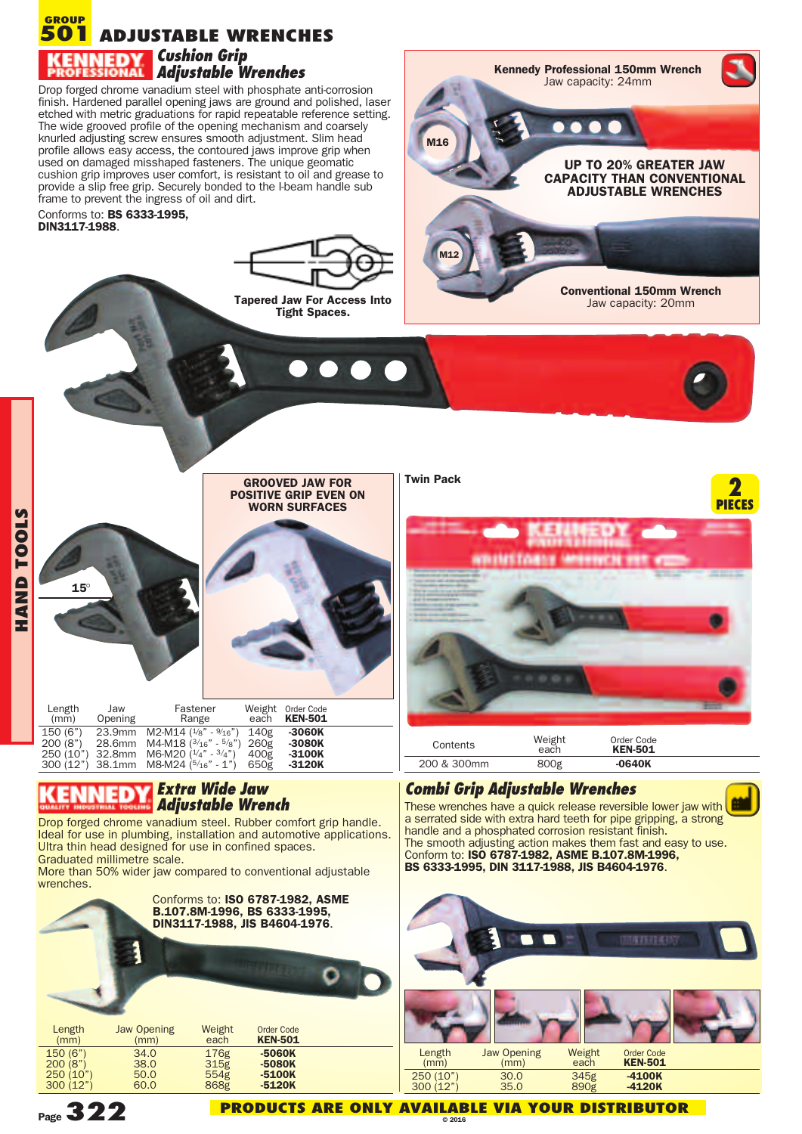## **ADJUSTABLE WRENCHES GROUP 501** *Cushion Grip Adjustable Wrenches*

Drop forged chrome vanadium steel with phosphate anti-corrosion finish. Hardened parallel opening jaws are ground and polished, laser etched with metric graduations for rapid repeatable reference setting. The wide grooved profile of the opening mechanism and coarsely knurled adjusting screw ensures smooth adjustment. Slim head profile allows easy access, the contoured jaws improve grip when used on damaged misshaped fasteners. The unique geomatic cushion grip improves user comfort, is resistant to oil and grease to provide a slip free grip. Securely bonded to the I-beam handle sub frame to prevent the ingress of oil and dirt.

Conforms to: **BS 6333-1995, DIN3117-1988**.



**M16**

**M12**





**CAPACITY THAN CONVENTIONAL ADJUSTABLE WRENCHES**

**Conventional 150mm Wrench** Jaw capacity: 20mm

> **2 PIECES**



## *Extra Wide Jaw* E *Adjustable Wrench*

Drop forged chrome vanadium steel. Rubber comfort grip handle. Ideal for use in plumbing, installation and automotive applications. Ultra thin head designed for use in confined spaces. Graduated millimetre scale.

More than 50% wider jaw compared to conventional adjustable wrenches.





These wrenches have a quick release reversible lower jaw with a serrated side with extra hard teeth for pipe gripping, a strong

The smooth adjusting action makes them fast and easy to use.

handle and a phosphated corrosion resistant finish.

Conform to: **ISO 6787-1982, ASME B.107.8M-1996,**